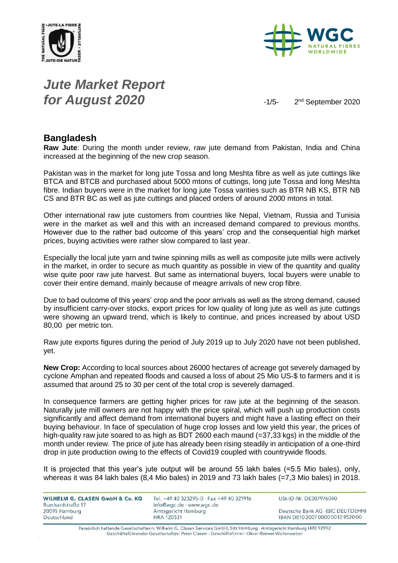



### *Jute Market Report for August 2020*  $-1/5-$

2<sup>nd</sup> September 2020

#### **Bangladesh**

**Raw Jute**: During the month under review, raw jute demand from Pakistan, India and China increased at the beginning of the new crop season.

Pakistan was in the market for long jute Tossa and long Meshta fibre as well as jute cuttings like BTCA and BTCB and purchased about 5000 mtons of cuttings, long jute Tossa and long Meshta fibre. Indian buyers were in the market for long jute Tossa varities such as BTR NB KS, BTR NB CS and BTR BC as well as jute cuttings and placed orders of around 2000 mtons in total.

Other international raw jute customers from countries like Nepal, Vietnam, Russia and Tunisia were in the market as well and this with an increased demand compared to previous months. However due to the rather bad outcome of this years' crop and the consequential high market prices, buying activities were rather slow compared to last year.

Especially the local jute yarn and twine spinning mills as well as composite jute mills were actively in the market, in order to secure as much quantity as possible in view of the quantity and quality wise quite poor raw jute harvest. But same as international buyers, local buyers were unable to cover their entire demand, mainly because of meagre arrivals of new crop fibre.

Due to bad outcome of this years' crop and the poor arrivals as well as the strong demand, caused by insufficient carry-over stocks, export prices for low quality of long jute as well as jute cuttings were showing an upward trend, which is likely to continue, and prices increased by about USD 80,00 per metric ton.

Raw jute exports figures during the period of July 2019 up to July 2020 have not been published, yet.

**New Crop:** According to local sources about 26000 hectares of acreage got severely damaged by cyclone Amphan and repeated floods and caused a loss of about 25 Mio US-\$ to farmers and it is assumed that around 25 to 30 per cent of the total crop is severely damaged.

In consequence farmers are getting higher prices for raw jute at the beginning of the season. Naturally jute mill owners are not happy with the price spiral, which will push up production costs significantly and affect demand from international buyers and might have a lasting effect on their buying behaviour. In face of speculation of huge crop losses and low yield this year, the prices of high-quality raw jute soared to as high as BDT 2600 each maund (=37,33 kgs) in the middle of the month under review. The price of jute has already been rising steadily in anticipation of a one-third drop in jute production owing to the effects of Covid19 coupled with countrywide floods.

It is projected that this year's jute output will be around 55 lakh bales (=5.5 Mio bales), only, whereas it was 84 lakh bales (8,4 Mio bales) in 2019 and 73 lakh bales (=7,3 Mio bales) in 2018.

| WILHELM G. CLASEN GmbH & Co. KG    | Tel. +49 40 323295-0 · Fax +49 40 321916        | USt-ID-Nr. DE307976040           |
|------------------------------------|-------------------------------------------------|----------------------------------|
| Burchardstraße 17<br>20095 Hamburg | info@wgc.de · www.wgc.de<br>Amtsgericht Hamburg | Deutsche Bank AG (BIC DEUTDEHH)  |
| Deutschland                        | <b>HRA 120531</b>                               | IBAN DE10 2007 0000 0010 9520 00 |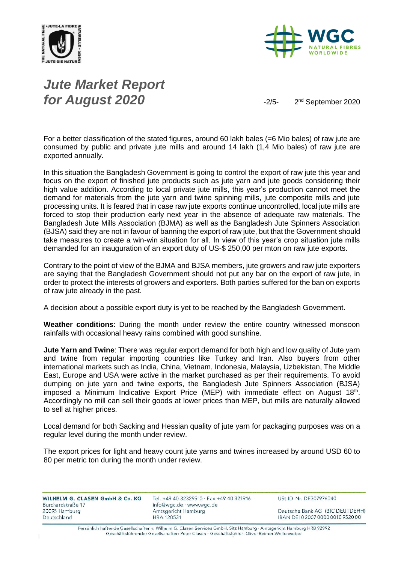



# *Jute Market Report for August 2020*

2<sup>nd</sup> September 2020

For a better classification of the stated figures, around 60 lakh bales (=6 Mio bales) of raw jute are consumed by public and private jute mills and around 14 lakh (1,4 Mio bales) of raw jute are exported annually.

In this situation the Bangladesh Government is going to control the export of raw jute this year and focus on the export of finished jute products such as jute yarn and jute goods considering their high value addition. According to local private jute mills, this year's production cannot meet the demand for materials from the jute yarn and twine spinning mills, jute composite mills and jute processing units. It is feared that in case raw jute exports continue uncontrolled, local jute mills are forced to stop their production early next year in the absence of adequate raw materials. The Bangladesh Jute Mills Association (BJMA) as well as the Bangladesh Jute Spinners Association (BJSA) said they are not in favour of banning the export of raw jute, but that the Government should take measures to create a win-win situation for all. In view of this year's crop situation jute mills demanded for an inauguration of an export duty of US-\$ 250,00 per mton on raw jute exports.

Contrary to the point of view of the BJMA and BJSA members, jute growers and raw jute exporters are saying that the Bangladesh Government should not put any bar on the export of raw jute, in order to protect the interests of growers and exporters. Both parties suffered for the ban on exports of raw jute already in the past.

A decision about a possible export duty is yet to be reached by the Bangladesh Government.

**Weather conditions**: During the month under review the entire country witnessed monsoon rainfalls with occasional heavy rains combined with good sunshine.

**Jute Yarn and Twine**: There was regular export demand for both high and low quality of Jute yarn and twine from regular importing countries like Turkey and Iran. Also buyers from other international markets such as India, China, Vietnam, Indonesia, Malaysia, Uzbekistan, The Middle East, Europe and USA were active in the market purchased as per their requirements. To avoid dumping on jute yarn and twine exports, the Bangladesh Jute Spinners Association (BJSA) imposed a Minimum Indicative Export Price (MEP) with immediate effect on August  $18<sup>th</sup>$ . Accordingly no mill can sell their goods at lower prices than MEP, but mills are naturally allowed to sell at higher prices.

Local demand for both Sacking and Hessian quality of jute yarn for packaging purposes was on a regular level during the month under review.

The export prices for light and heavy count jute yarns and twines increased by around USD 60 to 80 per metric ton during the month under review.

| WILHELM G. CLASEN GmbH & Co. KG | Tel. +49 40 323295-0 · Fax +49 40 321916 | USt-ID-Nr. DE307976040           |
|---------------------------------|------------------------------------------|----------------------------------|
| Burchardstraße 17               | info@wgc.de · www.wgc.de                 |                                  |
| 20095 Hamburg                   | Amtsgericht Hamburg                      | Deutsche Bank AG (BIC DEUTDEHH)  |
| Deutschland                     | <b>HRA 120531</b>                        | IBAN DE10 2007 0000 0010 9520 00 |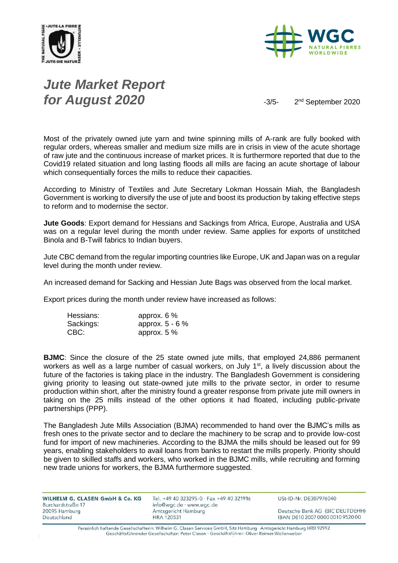



# *Jute Market Report for August 2020*  $-3/5-$

2<sup>nd</sup> September 2020

Most of the privately owned jute yarn and twine spinning mills of A-rank are fully booked with regular orders, whereas smaller and medium size mills are in crisis in view of the acute shortage of raw jute and the continuous increase of market prices. It is furthermore reported that due to the Covid19 related situation and long lasting floods all mills are facing an acute shortage of labour which consequentially forces the mills to reduce their capacities.

According to Ministry of Textiles and Jute Secretary Lokman Hossain Miah, the Bangladesh Government is working to diversify the use of jute and boost its production by taking effective steps to reform and to modernise the sector.

**Jute Goods**: Export demand for Hessians and Sackings from Africa, Europe, Australia and USA was on a regular level during the month under review. Same applies for exports of unstitched Binola and B-Twill fabrics to Indian buyers.

Jute CBC demand from the regular importing countries like Europe, UK and Japan was on a regular level during the month under review.

An increased demand for Sacking and Hessian Jute Bags was observed from the local market.

Export prices during the month under review have increased as follows:

| Hessians: | approx. $6\%$   |
|-----------|-----------------|
| Sackings: | approx. 5 - 6 % |
| CBC:      | approx. $5\%$   |

**BJMC**: Since the closure of the 25 state owned jute mills, that employed 24,886 permanent workers as well as a large number of casual workers, on July 1<sup>st</sup>, a lively discussion about the future of the factories is taking place in the industry. The Bangladesh Government is considering giving priority to leasing out state-owned jute mills to the private sector, in order to resume production within short, after the ministry found a greater response from private jute mill owners in taking on the 25 mills instead of the other options it had floated, including public-private partnerships (PPP).

The Bangladesh Jute Mills Association (BJMA) recommended to hand over the BJMC's mills as fresh ones to the private sector and to declare the machinery to be scrap and to provide low-cost fund for import of new machineries. According to the BJMA the mills should be leased out for 99 years, enabling stakeholders to avail loans from banks to restart the mills properly. Priority should be given to skilled staffs and workers, who worked in the BJMC mills, while recruiting and forming new trade unions for workers, the BJMA furthermore suggested.

| Tel. +49 40 323295-0 · Fax +49 40 321916 | USt-ID-Nr. DE307976040           |
|------------------------------------------|----------------------------------|
| info@wgc.de · www.wgc.de                 |                                  |
| Amtsgericht Hamburg                      | Deutsche Bank AG (BIC DEUTDEHH)  |
| <b>HRA 120531</b>                        | IBAN DE10 2007 0000 0010 9520 00 |
|                                          |                                  |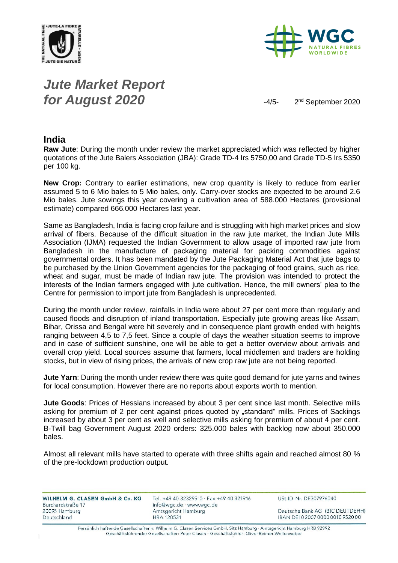



# *Jute Market Report for August 2020*  $-4/5-$

2<sup>nd</sup> September 2020

#### **India**

**Raw Jute**: During the month under review the market appreciated which was reflected by higher quotations of the Jute Balers Association (JBA): Grade TD-4 Irs 5750,00 and Grade TD-5 Irs 5350 per 100 kg.

**New Crop:** Contrary to earlier estimations, new crop quantity is likely to reduce from earlier assumed 5 to 6 Mio bales to 5 Mio bales, only. Carry-over stocks are expected to be around 2.6 Mio bales. Jute sowings this year covering a cultivation area of 588.000 Hectares (provisional estimate) compared 666.000 Hectares last year.

Same as Bangladesh, India is facing crop failure and is struggling with high market prices and slow arrival of fibers. Because of the difficult situation in the raw jute market, the Indian Jute Mills Association (IJMA) requested the Indian Government to allow usage of imported raw jute from Bangladesh in the manufacture of packaging material for packing commodities against governmental orders. It has been mandated by the Jute Packaging Material Act that jute bags to be purchased by the Union Government agencies for the packaging of food grains, such as rice, wheat and sugar, must be made of Indian raw jute. The provision was intended to protect the interests of the Indian farmers engaged with jute cultivation. Hence, the mill owners' plea to the Centre for permission to import jute from Bangladesh is unprecedented.

During the month under review, rainfalls in India were about 27 per cent more than regularly and caused floods and disruption of inland transportation. Especially jute growing areas like Assam, Bihar, Orissa and Bengal were hit severely and in consequence plant growth ended with heights ranging between 4,5 to 7,5 feet. Since a couple of days the weather situation seems to improve and in case of sufficient sunshine, one will be able to get a better overview about arrivals and overall crop yield. Local sources assume that farmers, local middlemen and traders are holding stocks, but in view of rising prices, the arrivals of new crop raw jute are not being reported.

**Jute Yarn**: During the month under review there was quite good demand for jute yarns and twines for local consumption. However there are no reports about exports worth to mention.

**Jute Goods**: Prices of Hessians increased by about 3 per cent since last month. Selective mills asking for premium of 2 per cent against prices quoted by "standard" mills. Prices of Sackings increased by about 3 per cent as well and selective mills asking for premium of about 4 per cent. B-Twill bag Government August 2020 orders: 325.000 bales with backlog now about 350.000 bales.

Almost all relevant mills have started to operate with three shifts again and reached almost 80 % of the pre-lockdown production output.

| WILHELM G. CLASEN GmbH & Co. KG | Tel. +49 40 323295-0 · Fax +49 40 321916 | USt-ID-Nr. DE307976040           |
|---------------------------------|------------------------------------------|----------------------------------|
| Burchardstraße 17               | info@wgc.de · www.wgc.de                 |                                  |
| 20095 Hamburg                   | <b>Amtsgericht Hamburg</b>               | Deutsche Bank AG (BIC DEUTDEHH)  |
| Deutschland                     | <b>HRA 120531</b>                        | IBAN DE10 2007 0000 0010 9520 00 |